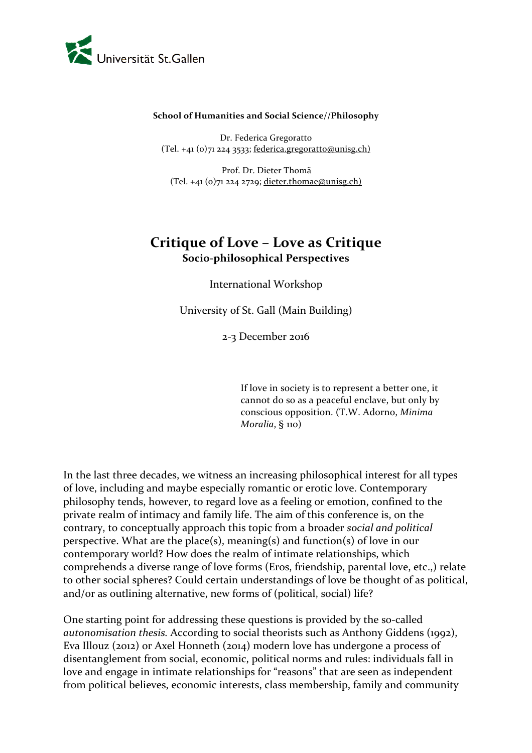

#### **School of Humanities and Social Science//Philosophy**

Dr. Federica Gregoratto  $(Tel. +41 (o)$ 71 224 3533; federica.gregoratto@unisg.ch)

Prof. Dr. Dieter Thomä (Tel. +41 (0)71 224 2729; dieter.thomae@unisg.ch)

## **Critique of Love – Love as Critique Socio-philosophical Perspectives**

International Workshop

University of St. Gall (Main Building)

2-3 December 2016

If love in society is to represent a better one, it cannot do so as a peaceful enclave, but only by conscious opposition. (T.W. Adorno, *Minima Moralia*, § 110)

In the last three decades, we witness an increasing philosophical interest for all types of love, including and maybe especially romantic or erotic love. Contemporary philosophy tends, however, to regard love as a feeling or emotion, confined to the private realm of intimacy and family life. The aim of this conference is, on the contrary, to conceptually approach this topic from a broader *social and political* perspective. What are the place(s), meaning(s) and function(s) of love in our contemporary world? How does the realm of intimate relationships, which comprehends a diverse range of love forms (Eros, friendship, parental love, etc.,) relate to other social spheres? Could certain understandings of love be thought of as political, and/or as outlining alternative, new forms of (political, social) life?

One starting point for addressing these questions is provided by the so-called *autonomisation thesis.* According to social theorists such as Anthony Giddens (1992), Eva Illouz (2012) or Axel Honneth (2014) modern love has undergone a process of disentanglement from social, economic, political norms and rules: individuals fall in love and engage in intimate relationships for "reasons" that are seen as independent from political believes, economic interests, class membership, family and community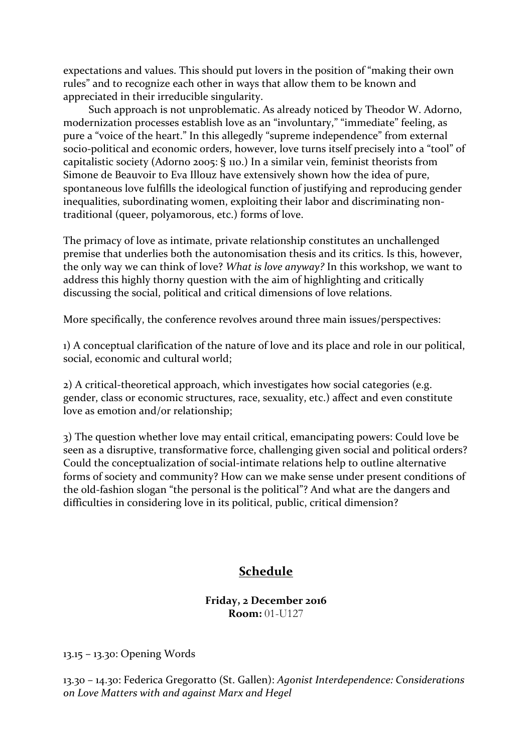expectations and values. This should put lovers in the position of "making their own rules" and to recognize each other in ways that allow them to be known and appreciated in their irreducible singularity.

Such approach is not unproblematic. As already noticed by Theodor W. Adorno, modernization processes establish love as an "involuntary," "immediate" feeling, as pure a "voice of the heart." In this allegedly "supreme independence" from external socio-political and economic orders, however, love turns itself precisely into a "tool" of capitalistic society (Adorno 2005: § 110.) In a similar vein, feminist theorists from Simone de Beauvoir to Eva Illouz have extensively shown how the idea of pure, spontaneous love fulfills the ideological function of justifying and reproducing gender inequalities, subordinating women, exploiting their labor and discriminating nontraditional (queer, polyamorous, etc.) forms of love.

The primacy of love as intimate, private relationship constitutes an unchallenged premise that underlies both the autonomisation thesis and its critics. Is this, however, the only way we can think of love? *What is love anyway?* In this workshop, we want to address this highly thorny question with the aim of highlighting and critically discussing the social, political and critical dimensions of love relations.

More specifically, the conference revolves around three main issues/perspectives:

1) A conceptual clarification of the nature of love and its place and role in our political, social, economic and cultural world;

2) A critical-theoretical approach, which investigates how social categories (e.g. gender, class or economic structures, race, sexuality, etc.) affect and even constitute love as emotion and/or relationship;

3) The question whether love may entail critical, emancipating powers: Could love be seen as a disruptive, transformative force, challenging given social and political orders? Could the conceptualization of social-intimate relations help to outline alternative forms of society and community? How can we make sense under present conditions of the old-fashion slogan "the personal is the political"? And what are the dangers and difficulties in considering love in its political, public, critical dimension?

# **Schedule**

### **Friday, 2 December 2016 Room:** 01-U127

13.15 – 13.30: Opening Words

13.30 – 14.30: Federica Gregoratto (St. Gallen): *Agonist Interdependence: Considerations on Love Matters with and against Marx and Hegel*